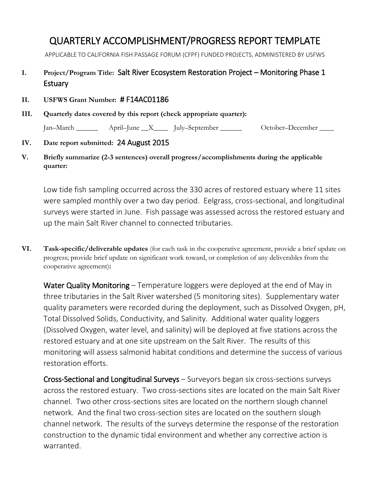# QUARTERLY ACCOMPLISHMENT/PROGRESS REPORT TEMPLATE

APPLICABLE TO CALIFORNIA FISH PASSAGE FORUM (CFPF) FUNDED PROJECTS, ADMINISTERED BY USFWS

## **I. Project/Program Title:** Salt River Ecosystem Restoration Project – Monitoring Phase 1 **Estuary**

#### **II. USFWS Grant Number:** # F14AC01186

**III. Quarterly dates covered by this report (check appropriate quarter):**

Jan–March \_\_\_\_\_\_ April–June \_\_X\_\_\_\_ July–September \_\_\_\_\_\_ October–December \_\_\_\_

#### **IV. Date report submitted:** 24 August 2015

**V. Briefly summarize (2-3 sentences) overall progress/accomplishments during the applicable quarter:** 

Low tide fish sampling occurred across the 330 acres of restored estuary where 11 sites were sampled monthly over a two day period. Eelgrass, cross-sectional, and longitudinal surveys were started in June. Fish passage was assessed across the restored estuary and up the main Salt River channel to connected tributaries.

**VI. Task-specific/deliverable updates** (for each task in the cooperative agreement, provide a brief update on progress; provide brief update on significant work toward, or completion of any deliverables from the cooperative agreement)**:**

Water Quality Monitoring – Temperature loggers were deployed at the end of May in three tributaries in the Salt River watershed (5 monitoring sites). Supplementary water quality parameters were recorded during the deployment, such as Dissolved Oxygen, pH, Total Dissolved Solids, Conductivity, and Salinity. Additional water quality loggers (Dissolved Oxygen, water level, and salinity) will be deployed at five stations across the restored estuary and at one site upstream on the Salt River. The results of this monitoring will assess salmonid habitat conditions and determine the success of various restoration efforts.

Cross-Sectional and Longitudinal Surveys – Surveyors began six cross-sections surveys across the restored estuary. Two cross-sections sites are located on the main Salt River channel. Two other cross-sections sites are located on the northern slough channel network. And the final two cross-section sites are located on the southern slough channel network. The results of the surveys determine the response of the restoration construction to the dynamic tidal environment and whether any corrective action is warranted.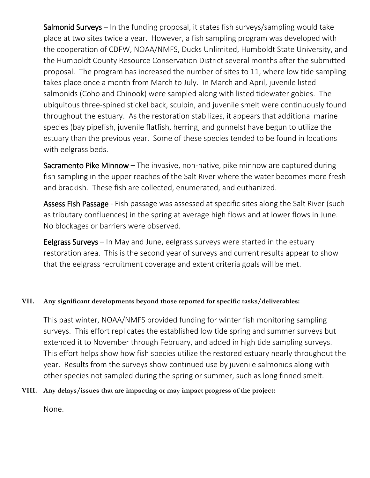Salmonid Surveys – In the funding proposal, it states fish surveys/sampling would take place at two sites twice a year. However, a fish sampling program was developed with the cooperation of CDFW, NOAA/NMFS, Ducks Unlimited, Humboldt State University, and the Humboldt County Resource Conservation District several months after the submitted proposal. The program has increased the number of sites to 11, where low tide sampling takes place once a month from March to July. In March and April, juvenile listed salmonids (Coho and Chinook) were sampled along with listed tidewater gobies. The ubiquitous three-spined stickel back, sculpin, and juvenile smelt were continuously found throughout the estuary. As the restoration stabilizes, it appears that additional marine species (bay pipefish, juvenile flatfish, herring, and gunnels) have begun to utilize the estuary than the previous year. Some of these species tended to be found in locations with eelgrass beds.

Sacramento Pike Minnow - The invasive, non-native, pike minnow are captured during fish sampling in the upper reaches of the Salt River where the water becomes more fresh and brackish. These fish are collected, enumerated, and euthanized.

Assess Fish Passage - Fish passage was assessed at specific sites along the Salt River (such as tributary confluences) in the spring at average high flows and at lower flows in June. No blockages or barriers were observed.

Eelgrass Surveys – In May and June, eelgrass surveys were started in the estuary restoration area. This is the second year of surveys and current results appear to show that the eelgrass recruitment coverage and extent criteria goals will be met.

### **VII. Any significant developments beyond those reported for specific tasks/deliverables:**

This past winter, NOAA/NMFS provided funding for winter fish monitoring sampling surveys. This effort replicates the established low tide spring and summer surveys but extended it to November through February, and added in high tide sampling surveys. This effort helps show how fish species utilize the restored estuary nearly throughout the year. Results from the surveys show continued use by juvenile salmonids along with other species not sampled during the spring or summer, such as long finned smelt.

#### **VIII. Any delays/issues that are impacting or may impact progress of the project:**

None.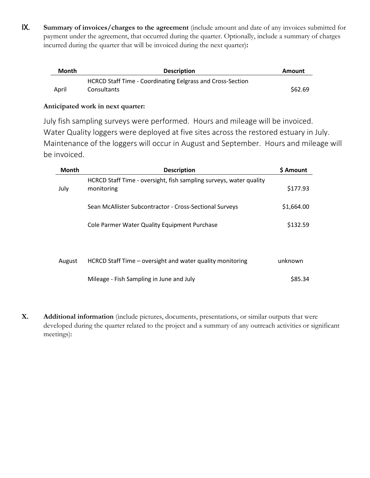IX. **Summary of invoices/charges to the agreement** (include amount and date of any invoices submitted for payment under the agreement, that occurred during the quarter. Optionally, include a summary of charges incurred during the quarter that will be invoiced during the next quarter)**:**

| Month | <b>Description</b>                                         | Amount  |
|-------|------------------------------------------------------------|---------|
|       | HCRCD Staff Time - Coordinating Eelgrass and Cross-Section |         |
| April | Consultants                                                | \$62.69 |

#### **Anticipated work in next quarter:**

July fish sampling surveys were performed. Hours and mileage will be invoiced. Water Quality loggers were deployed at five sites across the restored estuary in July. Maintenance of the loggers will occur in August and September. Hours and mileage will be invoiced.

| <b>Month</b> | <b>Description</b>                                                               | \$ Amount  |
|--------------|----------------------------------------------------------------------------------|------------|
| July         | HCRCD Staff Time - oversight, fish sampling surveys, water quality<br>monitoring | \$177.93   |
|              | Sean McAllister Subcontractor - Cross-Sectional Surveys                          | \$1,664.00 |
|              | Cole Parmer Water Quality Equipment Purchase                                     | \$132.59   |
|              |                                                                                  |            |
| August       | HCRCD Staff Time - oversight and water quality monitoring                        | unknown    |
|              | Mileage - Fish Sampling in June and July                                         | \$85.34    |

**X. Additional information** (include pictures, documents, presentations, or similar outputs that were developed during the quarter related to the project and a summary of any outreach activities or significant meetings):